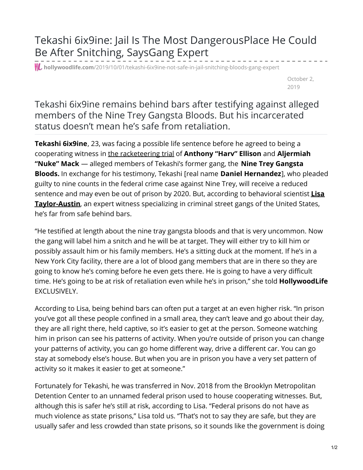Tekashi 6ix9ine: Jail Is The Most DangerousPlace He Could Be After Snitching, SaysGang Expert

**hollywoodlife.com**[/2019/10/01/tekashi-6ix9ine-not-safe-in-jail-snitching-bloods-gang-expert](https://hollywoodlife.com/2019/10/01/tekashi-6ix9ine-not-safe-in-jail-snitching-bloods-gang-expert/)

October 2, 2019

Tekashi 6ix9ine remains behind bars after testifying against alleged members of the Nine Trey Gangsta Bloods. But his incarcerated status doesn't mean he's safe from retaliation.

**Tekashi 6ix9ine**, 23, was facing a possible life sentence before he agreed to being a cooperating witness in the [racketeering](https://hollywoodlife.com/2019/09/17/tekashi-6ix9ine-songs-play-courtroom-testifies-fan-reaction-twitter-tweets/) trial of **Anthony "Harv" Ellison** and **Aljermiah "Nuke" Mack** — alleged members of Tekashi's former gang, the **Nine Trey Gangsta Bloods.** In exchange for his testimony, Tekashi [real name **Daniel Hernandez**], who pleaded guilty to nine counts in the federal crime case against Nine Trey, will receive a reduced sentence and may even be out of prison by 2020. But, according to behavioral scientist **Lisa [Taylor-Austin](https://thetayloraustingroup.com/behavioral-analysis/lisa-taylor-austin/)**, an expert witness specializing in criminal street gangs of the United States, he's far from safe behind bars.

"He testified at length about the nine tray gangsta bloods and that is very uncommon. Now the gang will label him a snitch and he will be at target. They will either try to kill him or possibly assault him or his family members. He's a sitting duck at the moment. If he's in a New York City facility, there are a lot of blood gang members that are in there so they are going to know he's coming before he even gets there. He is going to have a very difficult time. He's going to be at risk of retaliation even while he's in prison," she told **HollywoodLife** EXCLUSIVELY.

According to Lisa, being behind bars can often put a target at an even higher risk. "In prison you've got all these people confined in a small area, they can't leave and go about their day, they are all right there, held captive, so it's easier to get at the person. Someone watching him in prison can see his patterns of activity. When you're outside of prison you can change your patterns of activity, you can go home different way, drive a different car. You can go stay at somebody else's house. But when you are in prison you have a very set pattern of activity so it makes it easier to get at someone."

Fortunately for Tekashi, he was transferred in Nov. 2018 from the Brooklyn Metropolitan Detention Center to an unnamed federal prison used to house cooperating witnesses. But, although this is safer he's still at risk, according to Lisa. "Federal prisons do not have as much violence as state prisons," Lisa told us. "That's not to say they are safe, but they are usually safer and less crowded than state prisons, so it sounds like the government is doing